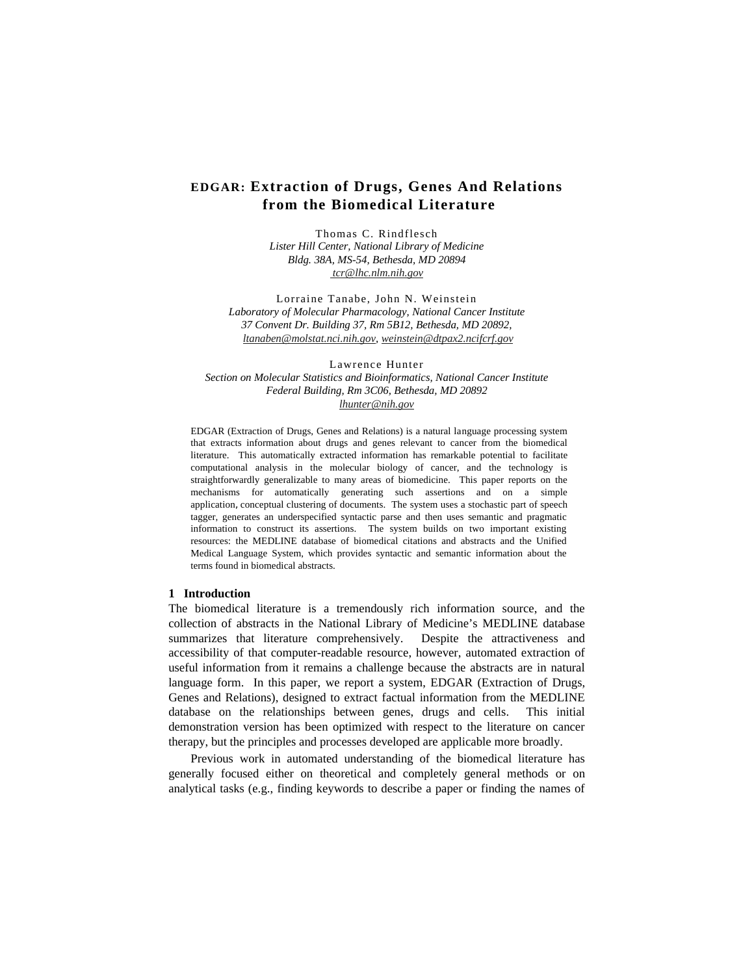# **EDGAR: Extraction of Drugs, Genes And Relations from the Biomedical Literature**

Thomas C. Rindflesch *Lister Hill Center, National Library of Medicine Bldg. 38A, MS-54, Bethesda, MD 20894 tcr@lhc.nlm.nih.gov*

Lorraine Tanabe, John N. Weinstein *Laboratory of Molecular Pharmacology, National Cancer Institute 37 Convent Dr. Building 37, Rm 5B12, Bethesda, MD 20892, ltanaben@molstat.nci.nih.gov, weinstein@dtpax2.ncifcrf.gov*

Lawrence Hunter *Section on Molecular Statistics and Bioinformatics, National Cancer Institute Federal Building, Rm 3C06, Bethesda, MD 20892 lhunter@nih.gov*

EDGAR (Extraction of Drugs, Genes and Relations) is a natural language processing system that extracts information about drugs and genes relevant to cancer from the biomedical literature. This automatically extracted information has remarkable potential to facilitate computational analysis in the molecular biology of cancer, and the technology is straightforwardly generalizable to many areas of biomedicine. This paper reports on the mechanisms for automatically generating such assertions and on a simple application, conceptual clustering of documents. The system uses a stochastic part of speech tagger, generates an underspecified syntactic parse and then uses semantic and pragmatic information to construct its assertions. The system builds on two important existing resources: the MEDLINE database of biomedical citations and abstracts and the Unified Medical Language System, which provides syntactic and semantic information about the terms found in biomedical abstracts.

# **1 Introduction**

The biomedical literature is a tremendously rich information source, and the collection of abstracts in the National Library of Medicine's MEDLINE database summarizes that literature comprehensively. Despite the attractiveness and accessibility of that computer-readable resource, however, automated extraction of useful information from it remains a challenge because the abstracts are in natural language form. In this paper, we report a system, EDGAR (Extraction of Drugs, Genes and Relations), designed to extract factual information from the MEDLINE database on the relationships between genes, drugs and cells. This initial demonstration version has been optimized with respect to the literature on cancer therapy, but the principles and processes developed are applicable more broadly.

Previous work in automated understanding of the biomedical literature has generally focused either on theoretical and completely general methods or on analytical tasks (e.g., finding keywords to describe a paper or finding the names of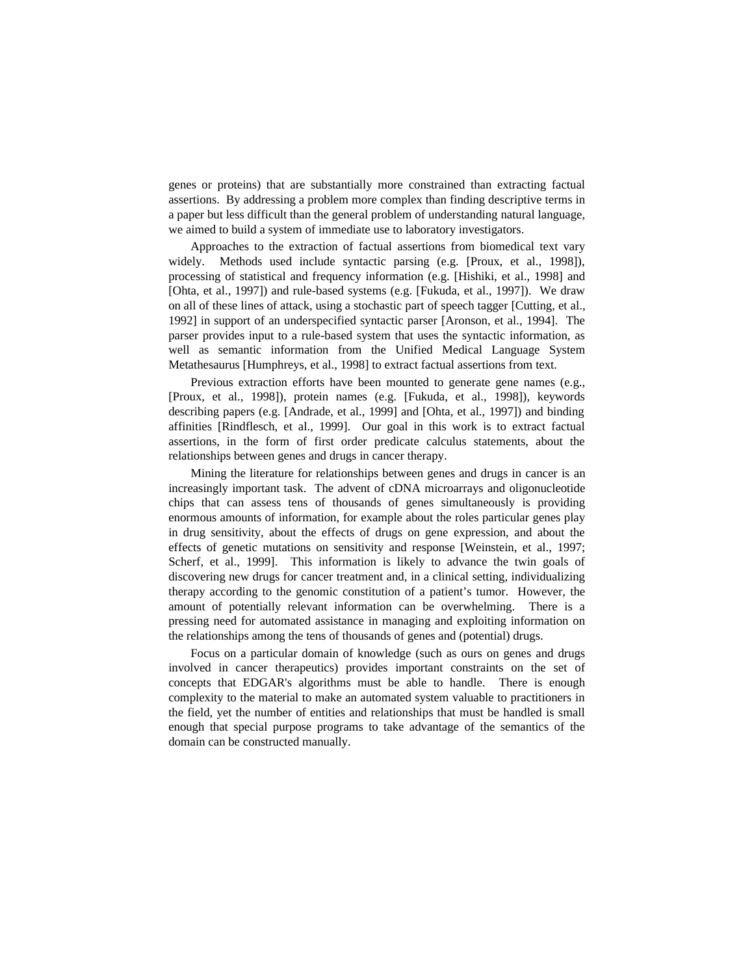genes or proteins) that are substantially more constrained than extracting factual assertions. By addressing a problem more complex than finding descriptive terms in a paper but less difficult than the general problem of understanding natural language, we aimed to build a system of immediate use to laboratory investigators.

Approaches to the extraction of factual assertions from biomedical text vary widely. Methods used include syntactic parsing (e.g. [Proux, et al., 1998]), processing of statistical and frequency information (e.g. [Hishiki, et al., 1998] and [Ohta, et al., 1997]) and rule-based systems (e.g. [Fukuda, et al., 1997]). We draw on all of these lines of attack, using a stochastic part of speech tagger [Cutting, et al., 1992] in support of an underspecified syntactic parser [Aronson, et al., 1994]. The parser provides input to a rule-based system that uses the syntactic information, as well as semantic information from the Unified Medical Language System Metathesaurus [Humphreys, et al., 1998] to extract factual assertions from text.

Previous extraction efforts have been mounted to generate gene names (e.g., [Proux, et al., 1998]), protein names (e.g. [Fukuda, et al., 1998]), keywords describing papers (e.g. [Andrade, et al., 1999] and [Ohta, et al., 1997]) and binding affinities [Rindflesch, et al., 1999]. Our goal in this work is to extract factual assertions, in the form of first order predicate calculus statements, about the relationships between genes and drugs in cancer therapy.

Mining the literature for relationships between genes and drugs in cancer is an increasingly important task. The advent of cDNA microarrays and oligonucleotide chips that can assess tens of thousands of genes simultaneously is providing enormous amounts of information, for example about the roles particular genes play in drug sensitivity, about the effects of drugs on gene expression, and about the effects of genetic mutations on sensitivity and response [Weinstein, et al., 1997; Scherf, et al., 1999]. This information is likely to advance the twin goals of discovering new drugs for cancer treatment and, in a clinical setting, individualizing therapy according to the genomic constitution of a patient's tumor. However, the amount of potentially relevant information can be overwhelming. There is a pressing need for automated assistance in managing and exploiting information on the relationships among the tens of thousands of genes and (potential) drugs.

Focus on a particular domain of knowledge (such as ours on genes and drugs involved in cancer therapeutics) provides important constraints on the set of concepts that EDGAR's algorithms must be able to handle. There is enough complexity to the material to make an automated system valuable to practitioners in the field, yet the number of entities and relationships that must be handled is small enough that special purpose programs to take advantage of the semantics of the domain can be constructed manually.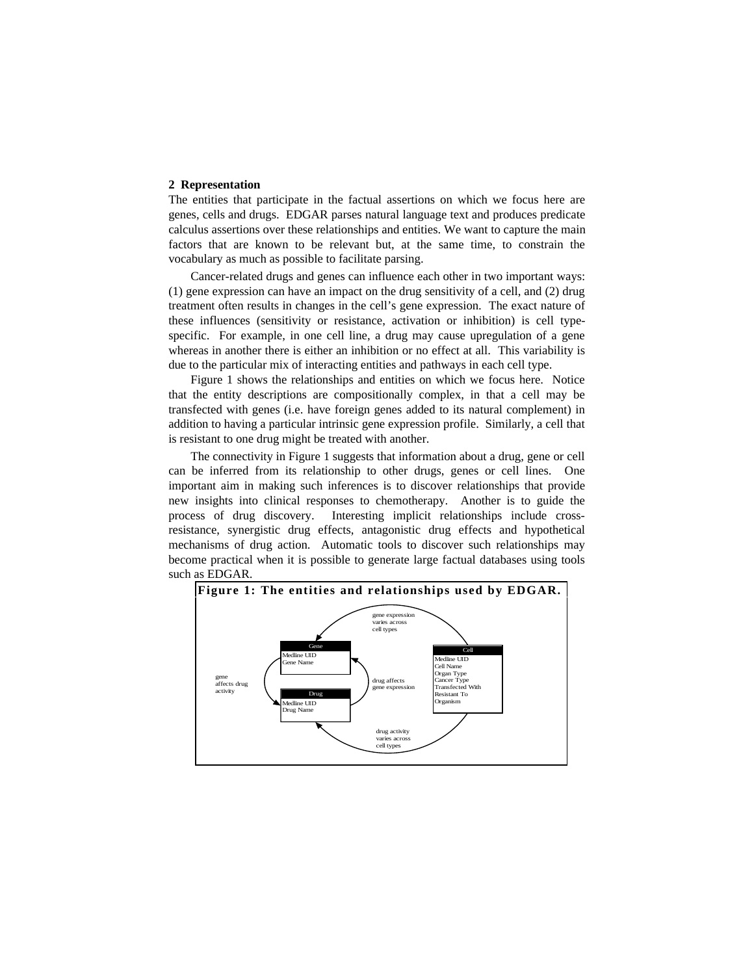# **2 Representation**

The entities that participate in the factual assertions on which we focus here are genes, cells and drugs. EDGAR parses natural language text and produces predicate calculus assertions over these relationships and entities. We want to capture the main factors that are known to be relevant but, at the same time, to constrain the vocabulary as much as possible to facilitate parsing.

Cancer-related drugs and genes can influence each other in two important ways: (1) gene expression can have an impact on the drug sensitivity of a cell, and (2) drug treatment often results in changes in the cell's gene expression. The exact nature of these influences (sensitivity or resistance, activation or inhibition) is cell typespecific. For example, in one cell line, a drug may cause upregulation of a gene whereas in another there is either an inhibition or no effect at all. This variability is due to the particular mix of interacting entities and pathways in each cell type.

Figure 1 shows the relationships and entities on which we focus here. Notice that the entity descriptions are compositionally complex, in that a cell may be transfected with genes (i.e. have foreign genes added to its natural complement) in addition to having a particular intrinsic gene expression profile. Similarly, a cell that is resistant to one drug might be treated with another.

The connectivity in Figure 1 suggests that information about a drug, gene or cell can be inferred from its relationship to other drugs, genes or cell lines. One important aim in making such inferences is to discover relationships that provide new insights into clinical responses to chemotherapy. Another is to guide the process of drug discovery. Interesting implicit relationships include crossresistance, synergistic drug effects, antagonistic drug effects and hypothetical mechanisms of drug action. Automatic tools to discover such relationships may become practical when it is possible to generate large factual databases using tools such as EDGAR.

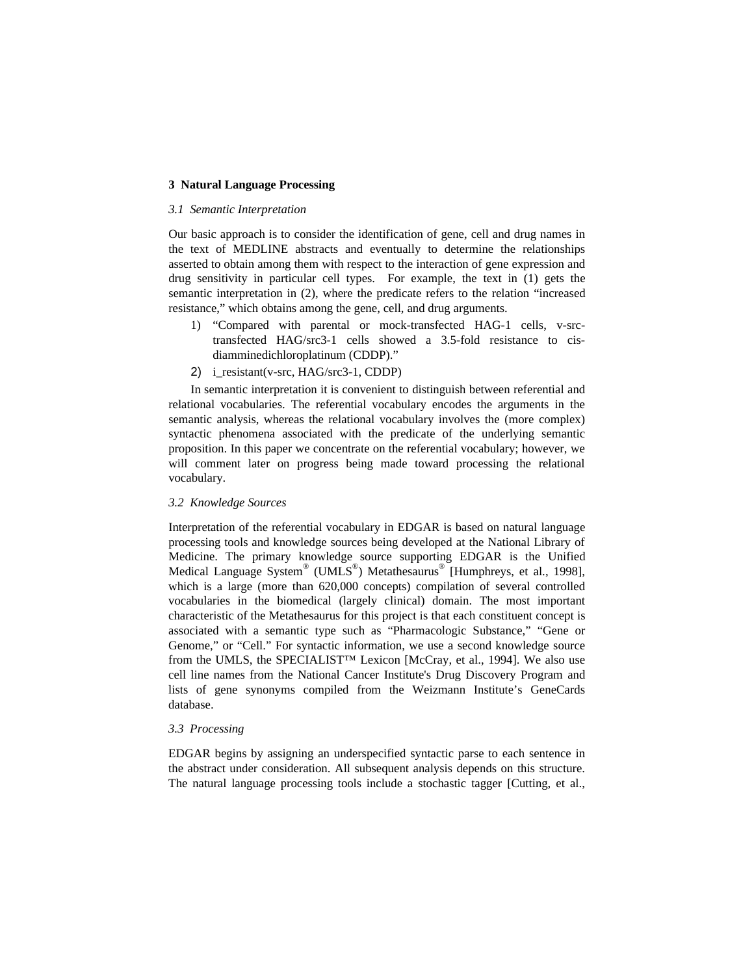# **3 Natural Language Processing**

#### *3.1 Semantic Interpretation*

Our basic approach is to consider the identification of gene, cell and drug names in the text of MEDLINE abstracts and eventually to determine the relationships asserted to obtain among them with respect to the interaction of gene expression and drug sensitivity in particular cell types. For example, the text in (1) gets the semantic interpretation in (2), where the predicate refers to the relation "increased resistance," which obtains among the gene, cell, and drug arguments.

- 1) "Compared with parental or mock-transfected HAG-1 cells, v-srctransfected HAG/src3-1 cells showed a 3.5-fold resistance to cisdiamminedichloroplatinum (CDDP)."
- 2) i\_resistant(v-src, HAG/src3-1, CDDP)

In semantic interpretation it is convenient to distinguish between referential and relational vocabularies. The referential vocabulary encodes the arguments in the semantic analysis, whereas the relational vocabulary involves the (more complex) syntactic phenomena associated with the predicate of the underlying semantic proposition. In this paper we concentrate on the referential vocabulary; however, we will comment later on progress being made toward processing the relational vocabulary.

# *3.2 Knowledge Sources*

Interpretation of the referential vocabulary in EDGAR is based on natural language processing tools and knowledge sources being developed at the National Library of Medicine. The primary knowledge source supporting EDGAR is the Unified Medical Language System® (UMLS®) Metathesaurus® [Humphreys, et al., 1998], which is a large (more than 620,000 concepts) compilation of several controlled vocabularies in the biomedical (largely clinical) domain. The most important characteristic of the Metathesaurus for this project is that each constituent concept is associated with a semantic type such as "Pharmacologic Substance," "Gene or Genome," or "Cell." For syntactic information, we use a second knowledge source from the UMLS, the SPECIALIST™ Lexicon [McCray, et al., 1994]. We also use cell line names from the National Cancer Institute's Drug Discovery Program and lists of gene synonyms compiled from the Weizmann Institute's GeneCards database.

# *3.3 Processing*

EDGAR begins by assigning an underspecified syntactic parse to each sentence in the abstract under consideration. All subsequent analysis depends on this structure. The natural language processing tools include a stochastic tagger [Cutting, et al.,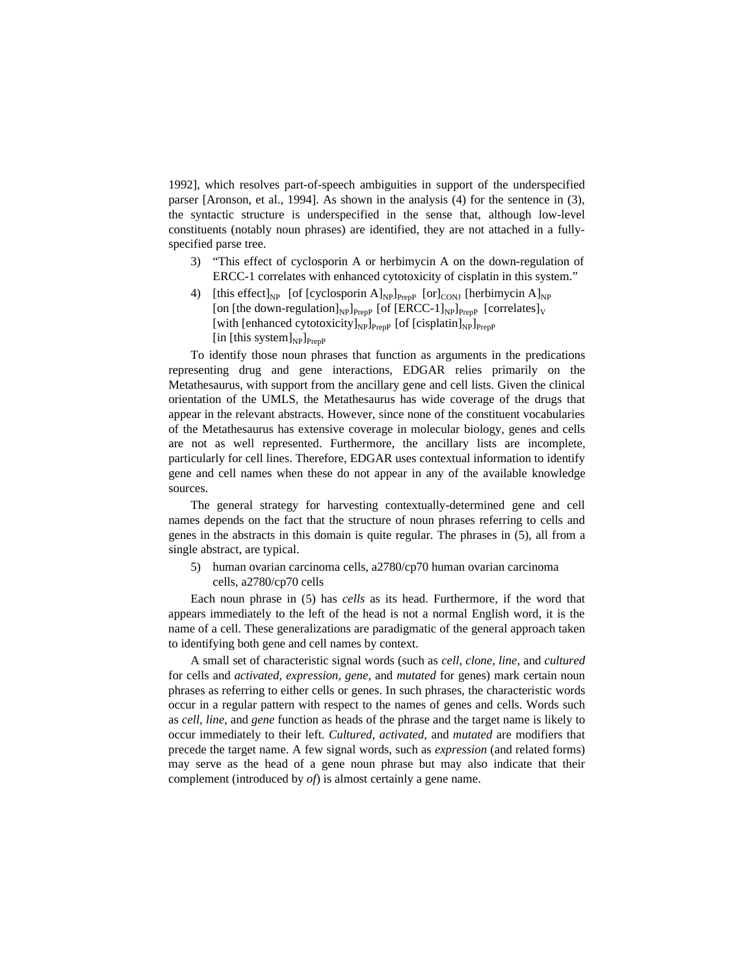1992], which resolves part-of-speech ambiguities in support of the underspecified parser [Aronson, et al., 1994]. As shown in the analysis (4) for the sentence in (3), the syntactic structure is underspecified in the sense that, although low-level constituents (notably noun phrases) are identified, they are not attached in a fullyspecified parse tree.

- 3) "This effect of cyclosporin A or herbimycin A on the down-regulation of ERCC-1 correlates with enhanced cytotoxicity of cisplatin in this system."
- 4) [this effect]<sub>NP</sub> [of [cyclosporin A]<sub>NP</sub>]<sub>PrepP</sub> [or]<sub>CONJ</sub> [herbimycin A]<sub>NP</sub> [on [the down-regulation] $_{NP}$ ]<sub>PrepP</sub> [of [ERCC-1]<sub>NP</sub>]<sub>PrepP</sub> [correlates]<sub>V</sub> [with [enhanced cytotoxicity]<sub>NP</sub>]<sub>PrepP</sub> [of [cisplatin]<sub>NP</sub>]<sub>PrepP</sub> [in [this system] $_{NP}$ ] $_{PrepP}$

To identify those noun phrases that function as arguments in the predications representing drug and gene interactions, EDGAR relies primarily on the Metathesaurus, with support from the ancillary gene and cell lists. Given the clinical orientation of the UMLS, the Metathesaurus has wide coverage of the drugs that appear in the relevant abstracts. However, since none of the constituent vocabularies of the Metathesaurus has extensive coverage in molecular biology, genes and cells are not as well represented. Furthermore, the ancillary lists are incomplete, particularly for cell lines. Therefore, EDGAR uses contextual information to identify gene and cell names when these do not appear in any of the available knowledge sources.

The general strategy for harvesting contextually-determined gene and cell names depends on the fact that the structure of noun phrases referring to cells and genes in the abstracts in this domain is quite regular. The phrases in (5), all from a single abstract, are typical.

5) human ovarian carcinoma cells, a2780/cp70 human ovarian carcinoma cells, a2780/cp70 cells

Each noun phrase in (5) has *cells* as its head. Furthermore, if the word that appears immediately to the left of the head is not a normal English word, it is the name of a cell. These generalizations are paradigmatic of the general approach taken to identifying both gene and cell names by context.

A small set of characteristic signal words (such as *cell, clone, line,* and *cultured* for cells and *activated, expression, gene,* and *mutated* for genes) mark certain noun phrases as referring to either cells or genes. In such phrases, the characteristic words occur in a regular pattern with respect to the names of genes and cells. Words such as *cell, line,* and *gene* function as heads of the phrase and the target name is likely to occur immediately to their left. *Cultured, activated,* and *mutated* are modifiers that precede the target name. A few signal words, such as *expression* (and related forms) may serve as the head of a gene noun phrase but may also indicate that their complement (introduced by *of*) is almost certainly a gene name.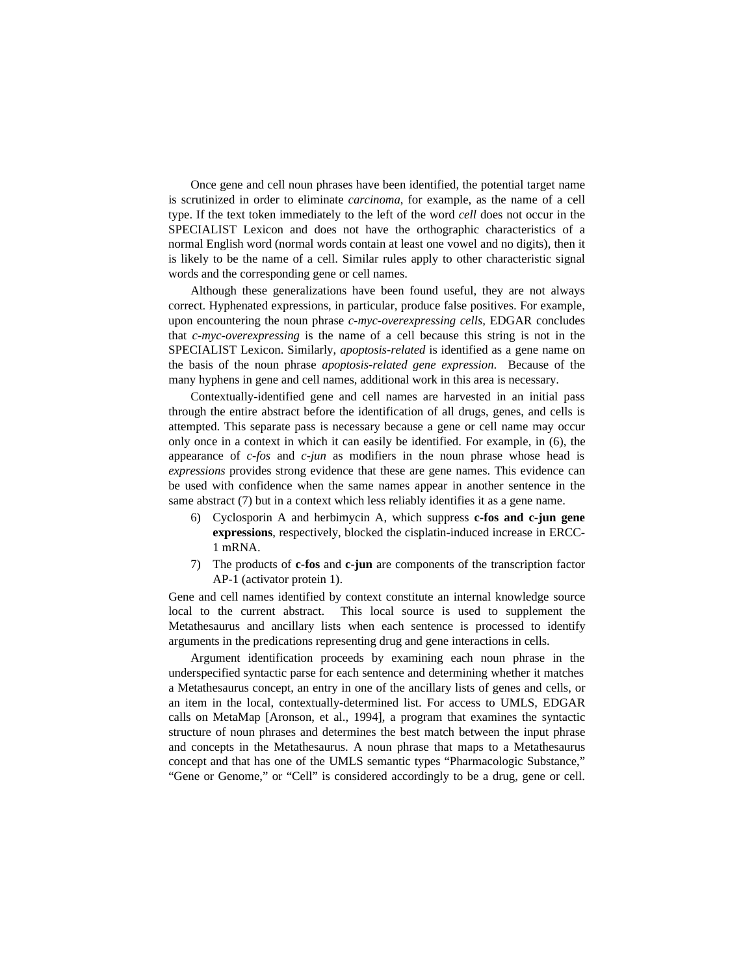Once gene and cell noun phrases have been identified, the potential target name is scrutinized in order to eliminate *carcinoma*, for example, as the name of a cell type. If the text token immediately to the left of the word *cell* does not occur in the SPECIALIST Lexicon and does not have the orthographic characteristics of a normal English word (normal words contain at least one vowel and no digits), then it is likely to be the name of a cell. Similar rules apply to other characteristic signal words and the corresponding gene or cell names.

Although these generalizations have been found useful, they are not always correct. Hyphenated expressions, in particular, produce false positives. For example, upon encountering the noun phrase *c-myc-overexpressing cells,* EDGAR concludes that *c-myc-overexpressing* is the name of a cell because this string is not in the SPECIALIST Lexicon. Similarly, *apoptosis-related* is identified as a gene name on the basis of the noun phrase *apoptosis-related gene expression*. Because of the many hyphens in gene and cell names, additional work in this area is necessary.

Contextually-identified gene and cell names are harvested in an initial pass through the entire abstract before the identification of all drugs, genes, and cells is attempted. This separate pass is necessary because a gene or cell name may occur only once in a context in which it can easily be identified. For example, in (6), the appearance of *c-fos* and *c-jun* as modifiers in the noun phrase whose head is *expressions* provides strong evidence that these are gene names. This evidence can be used with confidence when the same names appear in another sentence in the same abstract (7) but in a context which less reliably identifies it as a gene name.

- 6) Cyclosporin A and herbimycin A, which suppress **c-fos and c-jun gene expressions**, respectively, blocked the cisplatin-induced increase in ERCC-1 mRNA.
- 7) The products of **c-fos** and **c-jun** are components of the transcription factor AP-1 (activator protein 1).

Gene and cell names identified by context constitute an internal knowledge source local to the current abstract. This local source is used to supplement the Metathesaurus and ancillary lists when each sentence is processed to identify arguments in the predications representing drug and gene interactions in cells.

Argument identification proceeds by examining each noun phrase in the underspecified syntactic parse for each sentence and determining whether it matches a Metathesaurus concept, an entry in one of the ancillary lists of genes and cells, or an item in the local, contextually-determined list. For access to UMLS, EDGAR calls on MetaMap [Aronson, et al., 1994], a program that examines the syntactic structure of noun phrases and determines the best match between the input phrase and concepts in the Metathesaurus. A noun phrase that maps to a Metathesaurus concept and that has one of the UMLS semantic types "Pharmacologic Substance," "Gene or Genome," or "Cell" is considered accordingly to be a drug, gene or cell.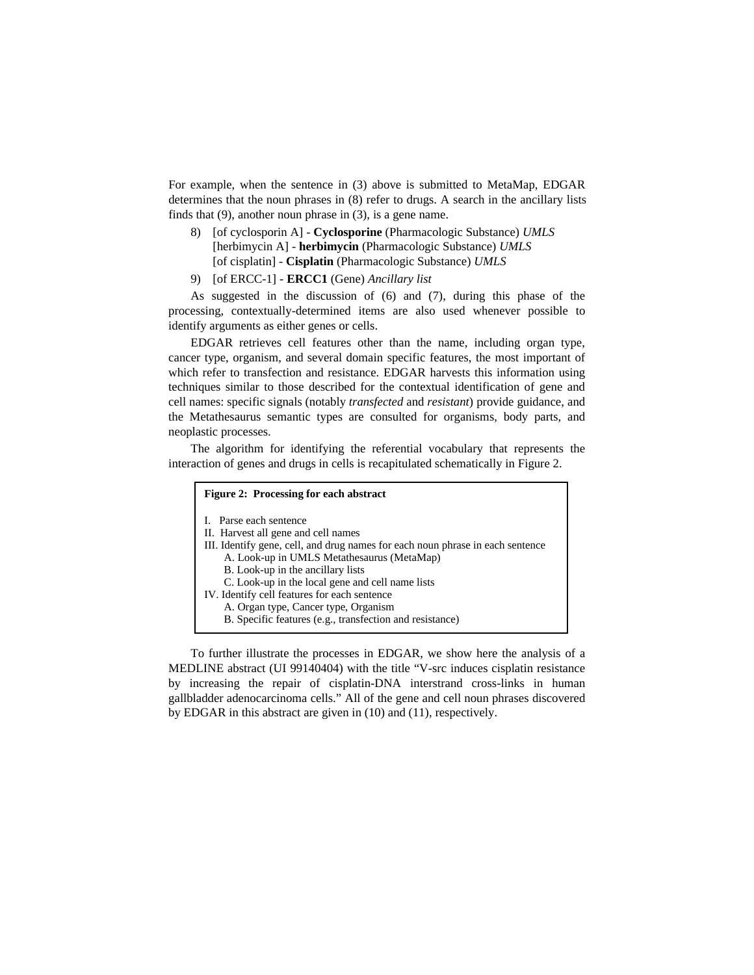For example, when the sentence in (3) above is submitted to MetaMap, EDGAR determines that the noun phrases in (8) refer to drugs. A search in the ancillary lists finds that (9), another noun phrase in (3), is a gene name.

- 8) [of cyclosporin A] **Cyclosporine** (Pharmacologic Substance) *UMLS* [herbimycin A] - **herbimycin** (Pharmacologic Substance) *UMLS* [of cisplatin] - **Cisplatin** (Pharmacologic Substance) *UMLS*
- 9) [of ERCC-1] **ERCC1** (Gene) *Ancillary list*

As suggested in the discussion of (6) and (7), during this phase of the processing, contextually-determined items are also used whenever possible to identify arguments as either genes or cells.

EDGAR retrieves cell features other than the name, including organ type, cancer type, organism, and several domain specific features, the most important of which refer to transfection and resistance. EDGAR harvests this information using techniques similar to those described for the contextual identification of gene and cell names: specific signals (notably *transfected* and *resistant*) provide guidance, and the Metathesaurus semantic types are consulted for organisms, body parts, and neoplastic processes.

The algorithm for identifying the referential vocabulary that represents the interaction of genes and drugs in cells is recapitulated schematically in Figure 2.

# **Figure 2: Processing for each abstract**

- I. Parse each sentence
- II. Harvest all gene and cell names
- III. Identify gene, cell, and drug names for each noun phrase in each sentence A. Look-up in UMLS Metathesaurus (MetaMap)
	- B. Look-up in the ancillary lists
	- C. Look-up in the local gene and cell name lists
- IV. Identify cell features for each sentence
	- A. Organ type, Cancer type, Organism
	- B. Specific features (e.g., transfection and resistance)

To further illustrate the processes in EDGAR, we show here the analysis of a MEDLINE abstract (UI 99140404) with the title "V-src induces cisplatin resistance by increasing the repair of cisplatin-DNA interstrand cross-links in human gallbladder adenocarcinoma cells." All of the gene and cell noun phrases discovered by EDGAR in this abstract are given in (10) and (11), respectively.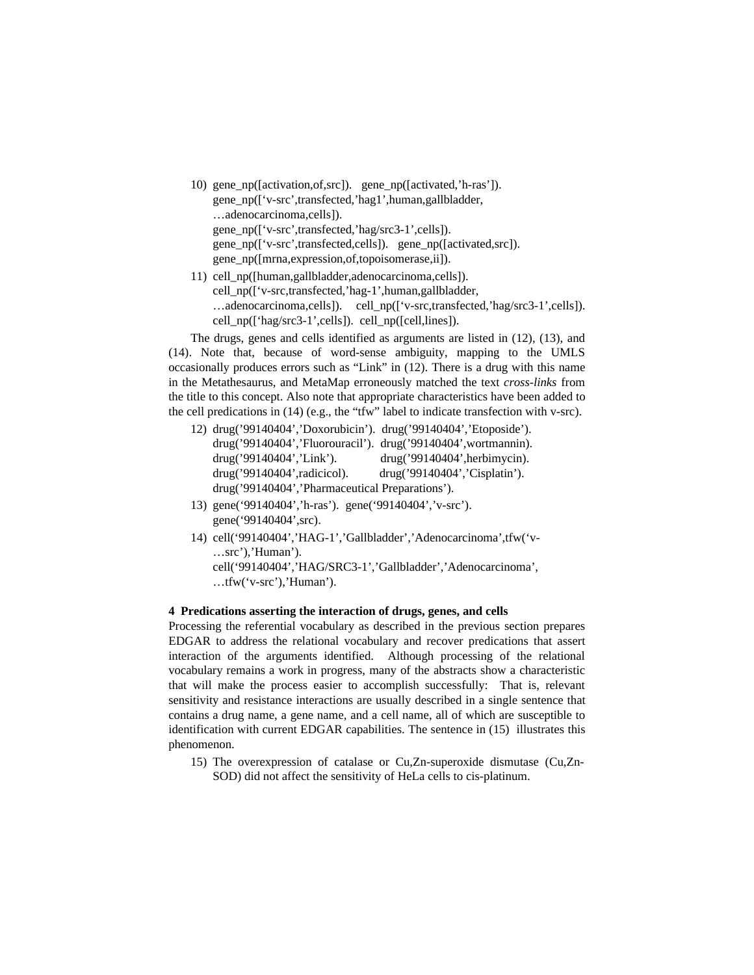- 10) gene\_np([activation,of,src]). gene\_np([activated,'h-ras']). gene\_np(['v-src',transfected,'hag1',human,gallbladder, …adenocarcinoma,cells]). gene\_np(['v-src',transfected,'hag/src3-1',cells]). gene\_np(['v-src',transfected,cells]). gene\_np([activated,src]). gene\_np([mrna,expression,of,topoisomerase,ii]).
- 11) cell\_np([human,gallbladder,adenocarcinoma,cells]). cell\_np(['v-src,transfected,'hag-1',human,gallbladder, ...adenocarcinoma,cells]). cell\_np(['v-src,transfected,'hag/src3-1',cells]). cell\_np(['hag/src3-1',cells]). cell\_np([cell,lines]).

The drugs, genes and cells identified as arguments are listed in (12), (13), and (14). Note that, because of word-sense ambiguity, mapping to the UMLS occasionally produces errors such as "Link" in (12). There is a drug with this name in the Metathesaurus, and MetaMap erroneously matched the text *cross-links* from the title to this concept. Also note that appropriate characteristics have been added to the cell predications in (14) (e.g., the "tfw" label to indicate transfection with v-src).

- 12) drug('99140404','Doxorubicin'). drug('99140404','Etoposide'). drug('99140404','Fluorouracil'). drug('99140404',wortmannin). drug('99140404','Link'). drug('99140404',herbimycin). drug('99140404',radicicol). drug('99140404','Cisplatin'). drug('99140404','Pharmaceutical Preparations').
- 13) gene('99140404','h-ras'). gene('99140404','v-src'). gene('99140404',src).
- 14) cell('99140404','HAG-1','Gallbladder','Adenocarcinoma',tfw('v- …src'),'Human').
	- cell('99140404','HAG/SRC3-1','Gallbladder','Adenocarcinoma', …tfw('v-src'),'Human').

# **4 Predications asserting the interaction of drugs, genes, and cells**

Processing the referential vocabulary as described in the previous section prepares EDGAR to address the relational vocabulary and recover predications that assert interaction of the arguments identified. Although processing of the relational vocabulary remains a work in progress, many of the abstracts show a characteristic that will make the process easier to accomplish successfully: That is, relevant sensitivity and resistance interactions are usually described in a single sentence that contains a drug name, a gene name, and a cell name, all of which are susceptible to identification with current EDGAR capabilities. The sentence in (15) illustrates this phenomenon.

15) The overexpression of catalase or Cu,Zn-superoxide dismutase (Cu,Zn-SOD) did not affect the sensitivity of HeLa cells to cis-platinum.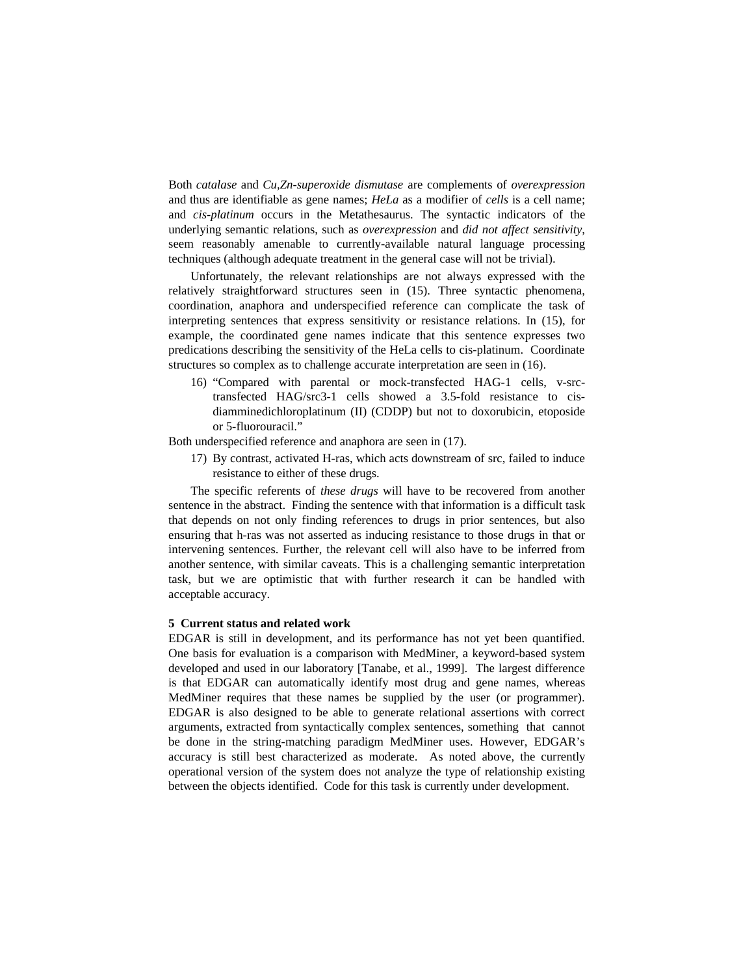Both *catalase* and *Cu,Zn-superoxide dismutase* are complements of *overexpression* and thus are identifiable as gene names; *HeLa* as a modifier of *cells* is a cell name; and *cis-platinum* occurs in the Metathesaurus. The syntactic indicators of the underlying semantic relations, such as *overexpression* and *did not affect sensitivity*, seem reasonably amenable to currently-available natural language processing techniques (although adequate treatment in the general case will not be trivial).

Unfortunately, the relevant relationships are not always expressed with the relatively straightforward structures seen in (15). Three syntactic phenomena, coordination, anaphora and underspecified reference can complicate the task of interpreting sentences that express sensitivity or resistance relations. In (15), for example, the coordinated gene names indicate that this sentence expresses two predications describing the sensitivity of the HeLa cells to cis-platinum. Coordinate structures so complex as to challenge accurate interpretation are seen in (16).

16) "Compared with parental or mock-transfected HAG-1 cells, v-srctransfected HAG/src3-1 cells showed a 3.5-fold resistance to cisdiamminedichloroplatinum (II) (CDDP) but not to doxorubicin, etoposide or 5-fluorouracil."

Both underspecified reference and anaphora are seen in (17).

17) By contrast, activated H-ras, which acts downstream of src, failed to induce resistance to either of these drugs.

The specific referents of *these drugs* will have to be recovered from another sentence in the abstract. Finding the sentence with that information is a difficult task that depends on not only finding references to drugs in prior sentences, but also ensuring that h-ras was not asserted as inducing resistance to those drugs in that or intervening sentences. Further, the relevant cell will also have to be inferred from another sentence, with similar caveats. This is a challenging semantic interpretation task, but we are optimistic that with further research it can be handled with acceptable accuracy.

# **5 Current status and related work**

EDGAR is still in development, and its performance has not yet been quantified. One basis for evaluation is a comparison with MedMiner, a keyword-based system developed and used in our laboratory [Tanabe, et al., 1999]. The largest difference is that EDGAR can automatically identify most drug and gene names, whereas MedMiner requires that these names be supplied by the user (or programmer). EDGAR is also designed to be able to generate relational assertions with correct arguments, extracted from syntactically complex sentences, something that cannot be done in the string-matching paradigm MedMiner uses. However, EDGAR's accuracy is still best characterized as moderate. As noted above, the currently operational version of the system does not analyze the type of relationship existing between the objects identified. Code for this task is currently under development.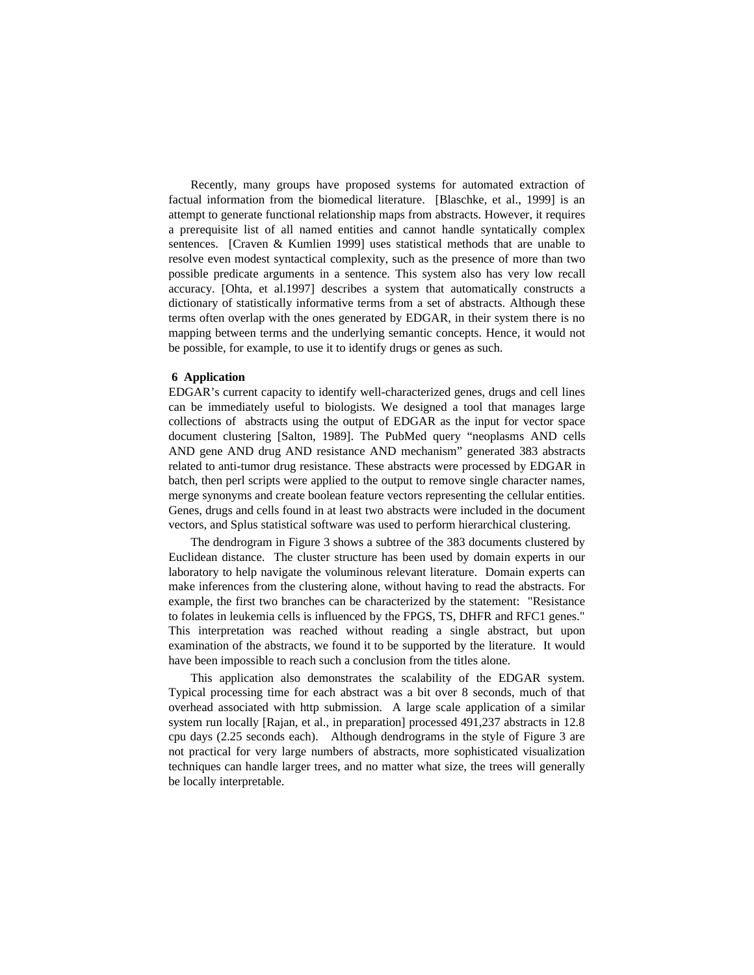Recently, many groups have proposed systems for automated extraction of factual information from the biomedical literature. [Blaschke, et al., 1999] is an attempt to generate functional relationship maps from abstracts. However, it requires a prerequisite list of all named entities and cannot handle syntatically complex sentences. [Craven & Kumlien 1999] uses statistical methods that are unable to resolve even modest syntactical complexity, such as the presence of more than two possible predicate arguments in a sentence. This system also has very low recall accuracy. [Ohta, et al.1997] describes a system that automatically constructs a dictionary of statistically informative terms from a set of abstracts. Although these terms often overlap with the ones generated by EDGAR, in their system there is no mapping between terms and the underlying semantic concepts. Hence, it would not be possible, for example, to use it to identify drugs or genes as such.

# **6 Application**

EDGAR's current capacity to identify well-characterized genes, drugs and cell lines can be immediately useful to biologists. We designed a tool that manages large collections of abstracts using the output of EDGAR as the input for vector space document clustering [Salton, 1989]. The PubMed query "neoplasms AND cells AND gene AND drug AND resistance AND mechanism" generated 383 abstracts related to anti-tumor drug resistance. These abstracts were processed by EDGAR in batch, then perl scripts were applied to the output to remove single character names, merge synonyms and create boolean feature vectors representing the cellular entities. Genes, drugs and cells found in at least two abstracts were included in the document vectors, and Splus statistical software was used to perform hierarchical clustering.

The dendrogram in Figure 3 shows a subtree of the 383 documents clustered by Euclidean distance. The cluster structure has been used by domain experts in our laboratory to help navigate the voluminous relevant literature. Domain experts can make inferences from the clustering alone, without having to read the abstracts. For example, the first two branches can be characterized by the statement: "Resistance to folates in leukemia cells is influenced by the FPGS, TS, DHFR and RFC1 genes." This interpretation was reached without reading a single abstract, but upon examination of the abstracts, we found it to be supported by the literature. It would have been impossible to reach such a conclusion from the titles alone.

This application also demonstrates the scalability of the EDGAR system. Typical processing time for each abstract was a bit over 8 seconds, much of that overhead associated with http submission. A large scale application of a similar system run locally [Rajan, et al., in preparation] processed 491,237 abstracts in 12.8 cpu days (2.25 seconds each). Although dendrograms in the style of Figure 3 are not practical for very large numbers of abstracts, more sophisticated visualization techniques can handle larger trees, and no matter what size, the trees will generally be locally interpretable.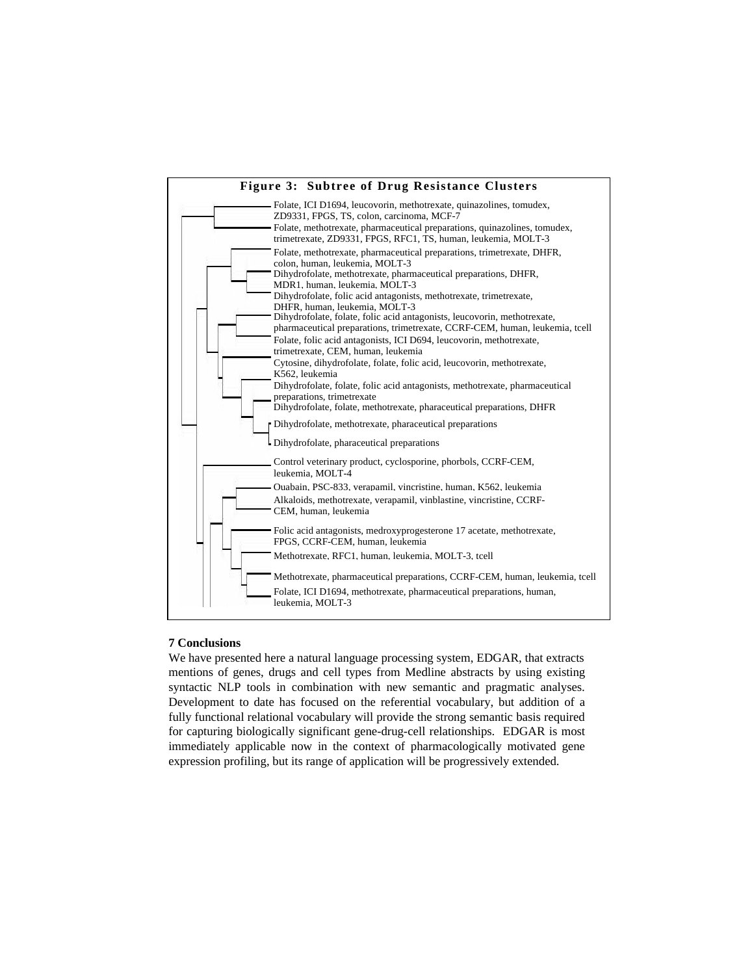

# **7 Conclusions**

We have presented here a natural language processing system, EDGAR, that extracts mentions of genes, drugs and cell types from Medline abstracts by using existing syntactic NLP tools in combination with new semantic and pragmatic analyses. Development to date has focused on the referential vocabulary, but addition of a fully functional relational vocabulary will provide the strong semantic basis required for capturing biologically significant gene-drug-cell relationships. EDGAR is most immediately applicable now in the context of pharmacologically motivated gene expression profiling, but its range of application will be progressively extended.